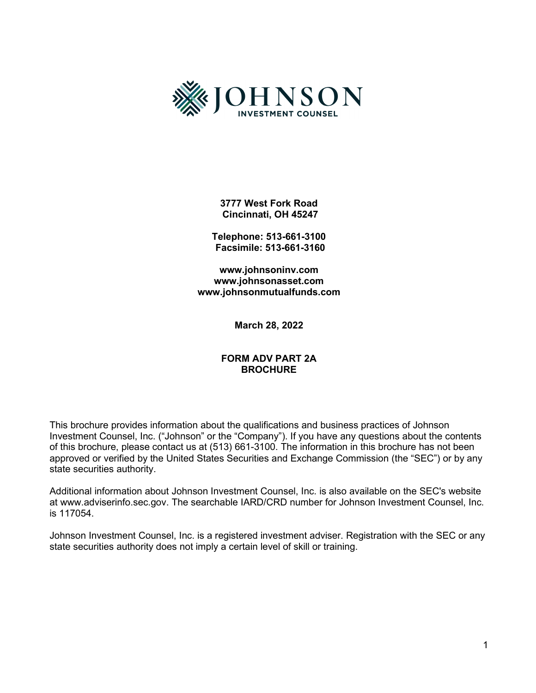

**3777 West Fork Road Cincinnati, OH 45247** 

**Telephone: 513-661-3100 Facsimile: 513-661-3160** 

**[www.johnsoninv.com](http://www.johnsoninv.com/) [www.johnsonasset.com](http://www.johnsonasset.com/) [www.johnsonmutualfunds.com](http://www.johnsonmutualfunds.com/)**

**March 28, 2022**

#### **FORM ADV PART 2A BROCHURE**

This brochure provides information about the qualifications and business practices of Johnson Investment Counsel, Inc. ("Johnson" or the "Company"). If you have any questions about the contents of this brochure, please contact us at (513) 661-3100. The information in this brochure has not been approved or verified by the United States Securities and Exchange Commission (the "SEC") or by any state securities authority.

Additional information about Johnson Investment Counsel, Inc. is also available on the SEC's website at www.adviserinfo.sec.gov. The searchable IARD/CRD number for Johnson Investment Counsel, Inc. is 117054.

Johnson Investment Counsel, Inc. is a registered investment adviser. Registration with the SEC or any state securities authority does not imply a certain level of skill or training.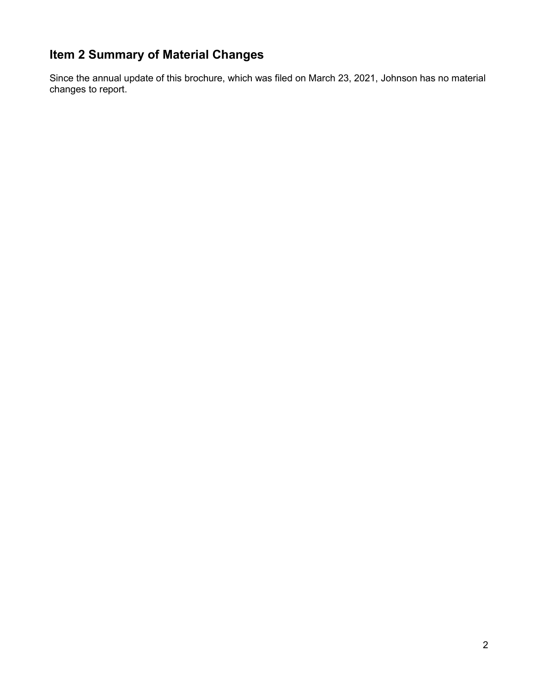# <span id="page-1-0"></span>**Item 2 Summary of Material Changes**

Since the annual update of this brochure, which was filed on March 23, 2021, Johnson has no material changes to report.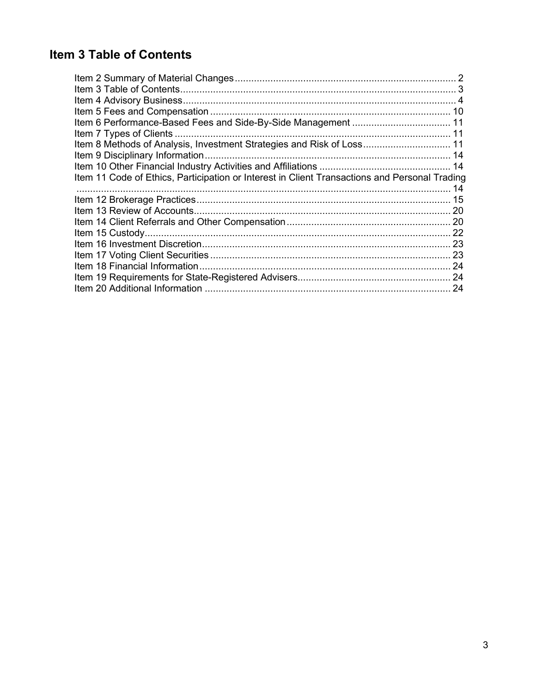# <span id="page-2-0"></span>Item 3 Table of Contents

| Item 8 Methods of Analysis, Investment Strategies and Risk of Loss 11                         |  |
|-----------------------------------------------------------------------------------------------|--|
|                                                                                               |  |
|                                                                                               |  |
| Item 11 Code of Ethics, Participation or Interest in Client Transactions and Personal Trading |  |
|                                                                                               |  |
|                                                                                               |  |
|                                                                                               |  |
|                                                                                               |  |
|                                                                                               |  |
|                                                                                               |  |
|                                                                                               |  |
|                                                                                               |  |
|                                                                                               |  |
|                                                                                               |  |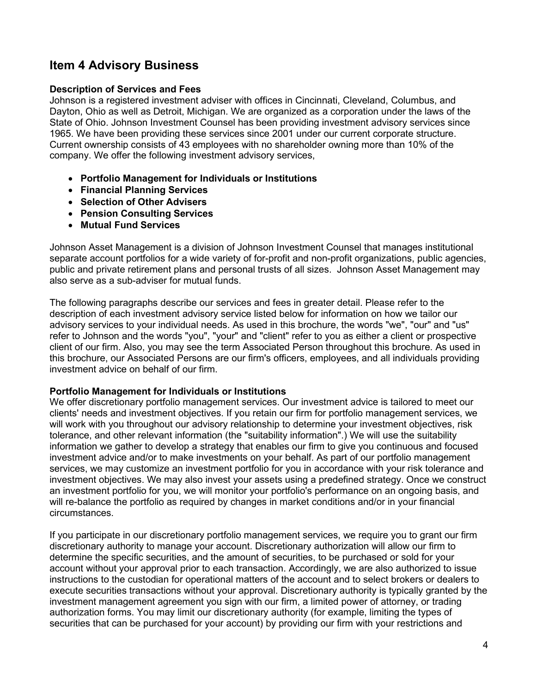# <span id="page-3-0"></span>**Item 4 Advisory Business**

#### **Description of Services and Fees**

Johnson is a registered investment adviser with offices in Cincinnati, Cleveland, Columbus, and Dayton, Ohio as well as Detroit, Michigan. We are organized as a corporation under the laws of the State of Ohio. Johnson Investment Counsel has been providing investment advisory services since 1965. We have been providing these services since 2001 under our current corporate structure. Current ownership consists of 43 employees with no shareholder owning more than 10% of the company. We offer the following investment advisory services,

- **Portfolio Management for Individuals or Institutions**
- **Financial Planning Services**
- **Selection of Other Advisers**
- **Pension Consulting Services**
- **Mutual Fund Services**

Johnson Asset Management is a division of Johnson Investment Counsel that manages institutional separate account portfolios for a wide variety of for-profit and non-profit organizations, public agencies, public and private retirement plans and personal trusts of all sizes. Johnson Asset Management may also serve as a sub-adviser for mutual funds.

The following paragraphs describe our services and fees in greater detail. Please refer to the description of each investment advisory service listed below for information on how we tailor our advisory services to your individual needs. As used in this brochure, the words "we", "our" and "us" refer to Johnson and the words "you", "your" and "client" refer to you as either a client or prospective client of our firm. Also, you may see the term Associated Person throughout this brochure. As used in this brochure, our Associated Persons are our firm's officers, employees, and all individuals providing investment advice on behalf of our firm.

#### **Portfolio Management for Individuals or Institutions**

We offer discretionary portfolio management services. Our investment advice is tailored to meet our clients' needs and investment objectives. If you retain our firm for portfolio management services, we will work with you throughout our advisory relationship to determine your investment objectives, risk tolerance, and other relevant information (the "suitability information".) We will use the suitability information we gather to develop a strategy that enables our firm to give you continuous and focused investment advice and/or to make investments on your behalf. As part of our portfolio management services, we may customize an investment portfolio for you in accordance with your risk tolerance and investment objectives. We may also invest your assets using a predefined strategy. Once we construct an investment portfolio for you, we will monitor your portfolio's performance on an ongoing basis, and will re-balance the portfolio as required by changes in market conditions and/or in your financial circumstances.

If you participate in our discretionary portfolio management services, we require you to grant our firm discretionary authority to manage your account. Discretionary authorization will allow our firm to determine the specific securities, and the amount of securities, to be purchased or sold for your account without your approval prior to each transaction. Accordingly, we are also authorized to issue instructions to the custodian for operational matters of the account and to select brokers or dealers to execute securities transactions without your approval. Discretionary authority is typically granted by the investment management agreement you sign with our firm, a limited power of attorney, or trading authorization forms. You may limit our discretionary authority (for example, limiting the types of securities that can be purchased for your account) by providing our firm with your restrictions and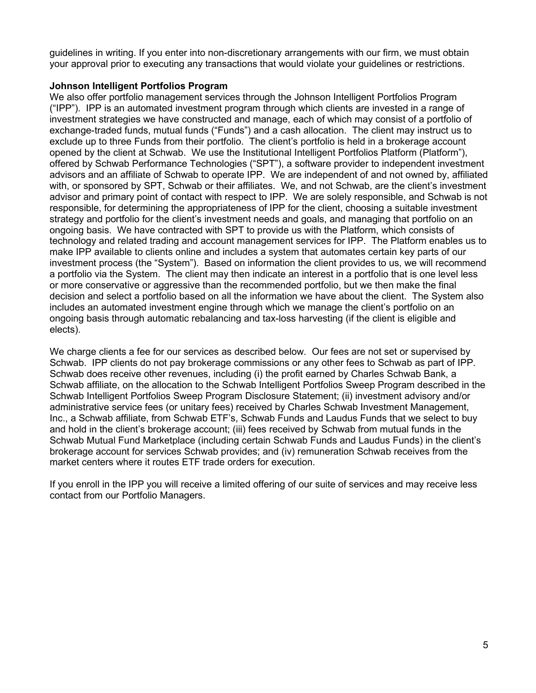guidelines in writing. If you enter into non-discretionary arrangements with our firm, we must obtain your approval prior to executing any transactions that would violate your guidelines or restrictions.

### **Johnson Intelligent Portfolios Program**

We also offer portfolio management services through the Johnson Intelligent Portfolios Program ("IPP"). IPP is an automated investment program through which clients are invested in a range of investment strategies we have constructed and manage, each of which may consist of a portfolio of exchange-traded funds, mutual funds ("Funds") and a cash allocation. The client may instruct us to exclude up to three Funds from their portfolio. The client's portfolio is held in a brokerage account opened by the client at Schwab. We use the Institutional Intelligent Portfolios Platform (Platform"), offered by Schwab Performance Technologies ("SPT"), a software provider to independent investment advisors and an affiliate of Schwab to operate IPP. We are independent of and not owned by, affiliated with, or sponsored by SPT, Schwab or their affiliates. We, and not Schwab, are the client's investment advisor and primary point of contact with respect to IPP. We are solely responsible, and Schwab is not responsible, for determining the appropriateness of IPP for the client, choosing a suitable investment strategy and portfolio for the client's investment needs and goals, and managing that portfolio on an ongoing basis. We have contracted with SPT to provide us with the Platform, which consists of technology and related trading and account management services for IPP. The Platform enables us to make IPP available to clients online and includes a system that automates certain key parts of our investment process (the "System"). Based on information the client provides to us, we will recommend a portfolio via the System. The client may then indicate an interest in a portfolio that is one level less or more conservative or aggressive than the recommended portfolio, but we then make the final decision and select a portfolio based on all the information we have about the client. The System also includes an automated investment engine through which we manage the client's portfolio on an ongoing basis through automatic rebalancing and tax-loss harvesting (if the client is eligible and elects).

We charge clients a fee for our services as described below*.* Our fees are not set or supervised by Schwab. IPP clients do not pay brokerage commissions or any other fees to Schwab as part of IPP. Schwab does receive other revenues, including (i) the profit earned by Charles Schwab Bank, a Schwab affiliate, on the allocation to the Schwab Intelligent Portfolios Sweep Program described in the Schwab Intelligent Portfolios Sweep Program Disclosure Statement; (ii) investment advisory and/or administrative service fees (or unitary fees) received by Charles Schwab Investment Management, Inc., a Schwab affiliate, from Schwab ETF's, Schwab Funds and Laudus Funds that we select to buy and hold in the client's brokerage account; (iii) fees received by Schwab from mutual funds in the Schwab Mutual Fund Marketplace (including certain Schwab Funds and Laudus Funds) in the client's brokerage account for services Schwab provides; and (iv) remuneration Schwab receives from the market centers where it routes ETF trade orders for execution.

If you enroll in the IPP you will receive a limited offering of our suite of services and may receive less contact from our Portfolio Managers.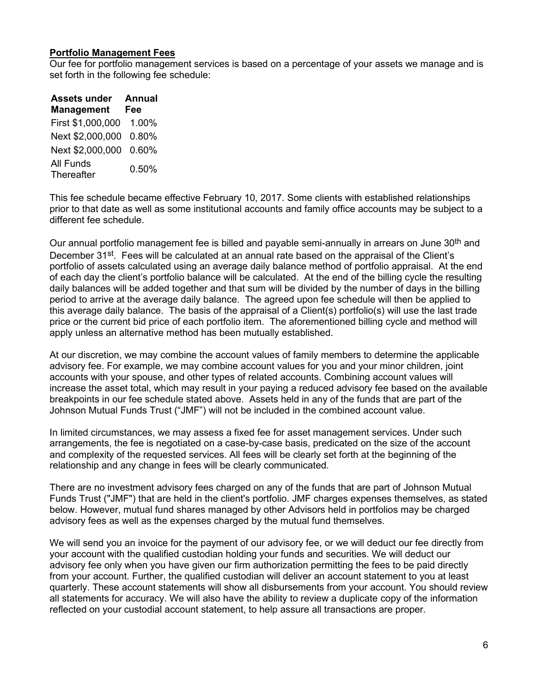### **Portfolio Management Fees**

Our fee for portfolio management services is based on a percentage of your assets we manage and is set forth in the following fee schedule:

| <b>Assets under</b>     | <b>Annual</b> |
|-------------------------|---------------|
| <b>Management</b>       | Fee           |
| First \$1,000,000       | 1.00%         |
| Next \$2,000,000        | 0.80%         |
| Next \$2,000,000        | 0.60%         |
| All Funds<br>Thereafter | 0.50%         |

This fee schedule became effective February 10, 2017. Some clients with established relationships prior to that date as well as some institutional accounts and family office accounts may be subject to a different fee schedule.

Our annual portfolio management fee is billed and payable semi-annually in arrears on June 30<sup>th</sup> and December 31<sup>st</sup>. Fees will be calculated at an annual rate based on the appraisal of the Client's portfolio of assets calculated using an average daily balance method of portfolio appraisal. At the end of each day the client's portfolio balance will be calculated. At the end of the billing cycle the resulting daily balances will be added together and that sum will be divided by the number of days in the billing period to arrive at the average daily balance. The agreed upon fee schedule will then be applied to this average daily balance. The basis of the appraisal of a Client(s) portfolio(s) will use the last trade price or the current bid price of each portfolio item. The aforementioned billing cycle and method will apply unless an alternative method has been mutually established.

At our discretion, we may combine the account values of family members to determine the applicable advisory fee. For example, we may combine account values for you and your minor children, joint accounts with your spouse, and other types of related accounts. Combining account values will increase the asset total, which may result in your paying a reduced advisory fee based on the available breakpoints in our fee schedule stated above. Assets held in any of the funds that are part of the Johnson Mutual Funds Trust ("JMF") will not be included in the combined account value.

In limited circumstances, we may assess a fixed fee for asset management services. Under such arrangements, the fee is negotiated on a case-by-case basis, predicated on the size of the account and complexity of the requested services. All fees will be clearly set forth at the beginning of the relationship and any change in fees will be clearly communicated.

There are no investment advisory fees charged on any of the funds that are part of Johnson Mutual Funds Trust ("JMF") that are held in the client's portfolio. JMF charges expenses themselves, as stated below. However, mutual fund shares managed by other Advisors held in portfolios may be charged advisory fees as well as the expenses charged by the mutual fund themselves.

We will send you an invoice for the payment of our advisory fee, or we will deduct our fee directly from your account with the qualified custodian holding your funds and securities. We will deduct our advisory fee only when you have given our firm authorization permitting the fees to be paid directly from your account. Further, the qualified custodian will deliver an account statement to you at least quarterly. These account statements will show all disbursements from your account. You should review all statements for accuracy. We will also have the ability to review a duplicate copy of the information reflected on your custodial account statement, to help assure all transactions are proper.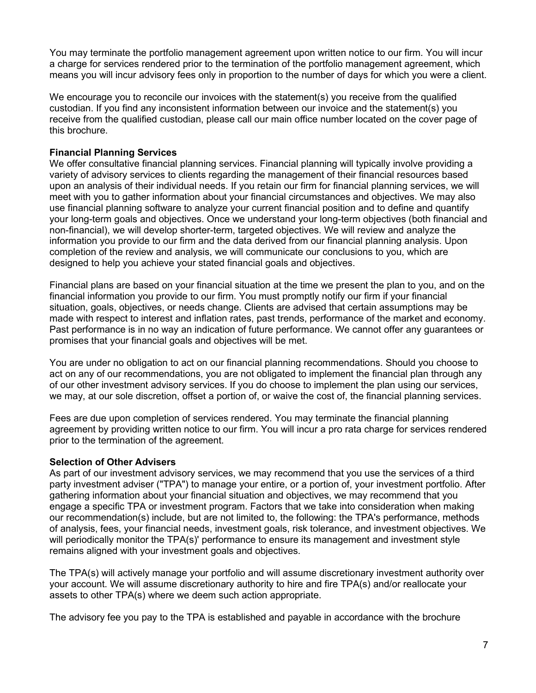You may terminate the portfolio management agreement upon written notice to our firm. You will incur a charge for services rendered prior to the termination of the portfolio management agreement, which means you will incur advisory fees only in proportion to the number of days for which you were a client.

We encourage you to reconcile our invoices with the statement(s) you receive from the qualified custodian. If you find any inconsistent information between our invoice and the statement(s) you receive from the qualified custodian, please call our main office number located on the cover page of this brochure.

#### **Financial Planning Services**

We offer consultative financial planning services. Financial planning will typically involve providing a variety of advisory services to clients regarding the management of their financial resources based upon an analysis of their individual needs. If you retain our firm for financial planning services, we will meet with you to gather information about your financial circumstances and objectives. We may also use financial planning software to analyze your current financial position and to define and quantify your long-term goals and objectives. Once we understand your long-term objectives (both financial and non-financial), we will develop shorter-term, targeted objectives. We will review and analyze the information you provide to our firm and the data derived from our financial planning analysis. Upon completion of the review and analysis, we will communicate our conclusions to you, which are designed to help you achieve your stated financial goals and objectives.

Financial plans are based on your financial situation at the time we present the plan to you, and on the financial information you provide to our firm. You must promptly notify our firm if your financial situation, goals, objectives, or needs change. Clients are advised that certain assumptions may be made with respect to interest and inflation rates, past trends, performance of the market and economy. Past performance is in no way an indication of future performance. We cannot offer any guarantees or promises that your financial goals and objectives will be met.

You are under no obligation to act on our financial planning recommendations. Should you choose to act on any of our recommendations, you are not obligated to implement the financial plan through any of our other investment advisory services. If you do choose to implement the plan using our services, we may, at our sole discretion, offset a portion of, or waive the cost of, the financial planning services.

Fees are due upon completion of services rendered. You may terminate the financial planning agreement by providing written notice to our firm. You will incur a pro rata charge for services rendered prior to the termination of the agreement.

#### **Selection of Other Advisers**

As part of our investment advisory services, we may recommend that you use the services of a third party investment adviser ("TPA") to manage your entire, or a portion of, your investment portfolio. After gathering information about your financial situation and objectives, we may recommend that you engage a specific TPA or investment program. Factors that we take into consideration when making our recommendation(s) include, but are not limited to, the following: the TPA's performance, methods of analysis, fees, your financial needs, investment goals, risk tolerance, and investment objectives. We will periodically monitor the TPA(s)' performance to ensure its management and investment style remains aligned with your investment goals and objectives.

The TPA(s) will actively manage your portfolio and will assume discretionary investment authority over your account. We will assume discretionary authority to hire and fire TPA(s) and/or reallocate your assets to other TPA(s) where we deem such action appropriate.

The advisory fee you pay to the TPA is established and payable in accordance with the brochure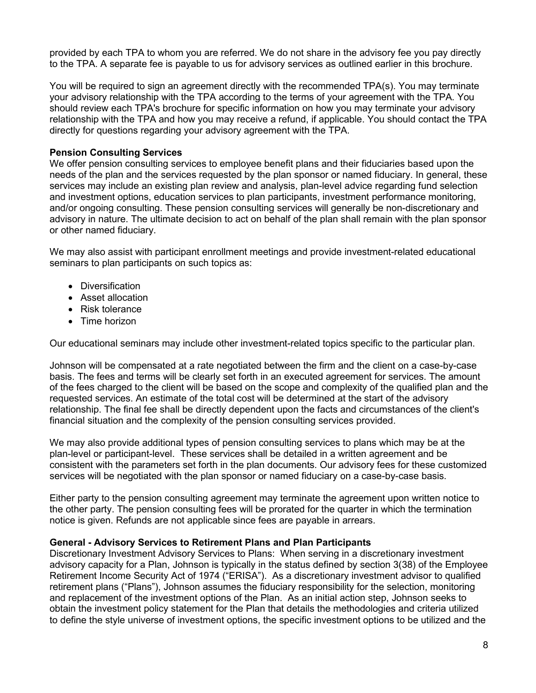provided by each TPA to whom you are referred. We do not share in the advisory fee you pay directly to the TPA. A separate fee is payable to us for advisory services as outlined earlier in this brochure.

You will be required to sign an agreement directly with the recommended TPA(s). You may terminate your advisory relationship with the TPA according to the terms of your agreement with the TPA. You should review each TPA's brochure for specific information on how you may terminate your advisory relationship with the TPA and how you may receive a refund, if applicable. You should contact the TPA directly for questions regarding your advisory agreement with the TPA.

### **Pension Consulting Services**

We offer pension consulting services to employee benefit plans and their fiduciaries based upon the needs of the plan and the services requested by the plan sponsor or named fiduciary. In general, these services may include an existing plan review and analysis, plan-level advice regarding fund selection and investment options, education services to plan participants, investment performance monitoring, and/or ongoing consulting. These pension consulting services will generally be non-discretionary and advisory in nature. The ultimate decision to act on behalf of the plan shall remain with the plan sponsor or other named fiduciary.

We may also assist with participant enrollment meetings and provide investment-related educational seminars to plan participants on such topics as:

- Diversification
- Asset allocation
- Risk tolerance
- Time horizon

Our educational seminars may include other investment-related topics specific to the particular plan.

Johnson will be compensated at a rate negotiated between the firm and the client on a case-by-case basis. The fees and terms will be clearly set forth in an executed agreement for services. The amount of the fees charged to the client will be based on the scope and complexity of the qualified plan and the requested services. An estimate of the total cost will be determined at the start of the advisory relationship. The final fee shall be directly dependent upon the facts and circumstances of the client's financial situation and the complexity of the pension consulting services provided.

We may also provide additional types of pension consulting services to plans which may be at the plan-level or participant-level. These services shall be detailed in a written agreement and be consistent with the parameters set forth in the plan documents. Our advisory fees for these customized services will be negotiated with the plan sponsor or named fiduciary on a case-by-case basis.

Either party to the pension consulting agreement may terminate the agreement upon written notice to the other party. The pension consulting fees will be prorated for the quarter in which the termination notice is given. Refunds are not applicable since fees are payable in arrears.

#### **General - Advisory Services to Retirement Plans and Plan Participants**

Discretionary Investment Advisory Services to Plans: When serving in a discretionary investment advisory capacity for a Plan, Johnson is typically in the status defined by section 3(38) of the Employee Retirement Income Security Act of 1974 ("ERISA"). As a discretionary investment advisor to qualified retirement plans ("Plans"), Johnson assumes the fiduciary responsibility for the selection, monitoring and replacement of the investment options of the Plan. As an initial action step, Johnson seeks to obtain the investment policy statement for the Plan that details the methodologies and criteria utilized to define the style universe of investment options, the specific investment options to be utilized and the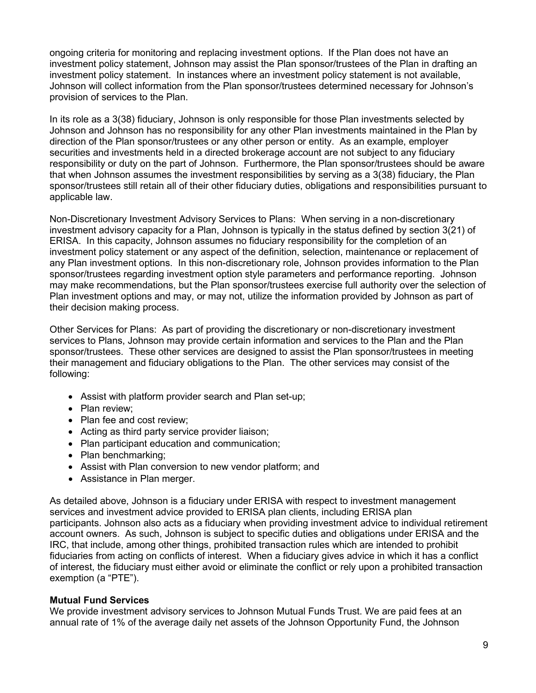ongoing criteria for monitoring and replacing investment options. If the Plan does not have an investment policy statement, Johnson may assist the Plan sponsor/trustees of the Plan in drafting an investment policy statement. In instances where an investment policy statement is not available, Johnson will collect information from the Plan sponsor/trustees determined necessary for Johnson's provision of services to the Plan.

In its role as a 3(38) fiduciary, Johnson is only responsible for those Plan investments selected by Johnson and Johnson has no responsibility for any other Plan investments maintained in the Plan by direction of the Plan sponsor/trustees or any other person or entity. As an example, employer securities and investments held in a directed brokerage account are not subject to any fiduciary responsibility or duty on the part of Johnson. Furthermore, the Plan sponsor/trustees should be aware that when Johnson assumes the investment responsibilities by serving as a 3(38) fiduciary, the Plan sponsor/trustees still retain all of their other fiduciary duties, obligations and responsibilities pursuant to applicable law.

Non-Discretionary Investment Advisory Services to Plans: When serving in a non-discretionary investment advisory capacity for a Plan, Johnson is typically in the status defined by section 3(21) of ERISA. In this capacity, Johnson assumes no fiduciary responsibility for the completion of an investment policy statement or any aspect of the definition, selection, maintenance or replacement of any Plan investment options. In this non-discretionary role, Johnson provides information to the Plan sponsor/trustees regarding investment option style parameters and performance reporting. Johnson may make recommendations, but the Plan sponsor/trustees exercise full authority over the selection of Plan investment options and may, or may not, utilize the information provided by Johnson as part of their decision making process.

Other Services for Plans: As part of providing the discretionary or non-discretionary investment services to Plans, Johnson may provide certain information and services to the Plan and the Plan sponsor/trustees. These other services are designed to assist the Plan sponsor/trustees in meeting their management and fiduciary obligations to the Plan. The other services may consist of the following:

- Assist with platform provider search and Plan set-up;
- Plan review:
- Plan fee and cost review:
- Acting as third party service provider liaison;
- Plan participant education and communication;
- Plan benchmarking:
- Assist with Plan conversion to new vendor platform; and
- Assistance in Plan merger.

As detailed above, Johnson is a fiduciary under ERISA with respect to investment management services and investment advice provided to ERISA plan clients, including ERISA plan participants. Johnson also acts as a fiduciary when providing investment advice to individual retirement account owners. As such, Johnson is subject to specific duties and obligations under ERISA and the IRC, that include, among other things, prohibited transaction rules which are intended to prohibit fiduciaries from acting on conflicts of interest. When a fiduciary gives advice in which it has a conflict of interest, the fiduciary must either avoid or eliminate the conflict or rely upon a prohibited transaction exemption (a "PTE").

#### **Mutual Fund Services**

We provide investment advisory services to Johnson Mutual Funds Trust. We are paid fees at an annual rate of 1% of the average daily net assets of the Johnson Opportunity Fund, the Johnson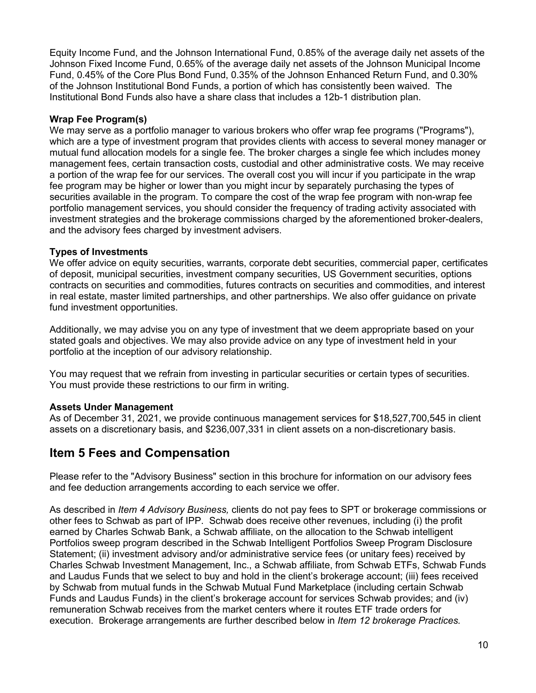Equity Income Fund, and the Johnson International Fund, 0.85% of the average daily net assets of the Johnson Fixed Income Fund, 0.65% of the average daily net assets of the Johnson Municipal Income Fund, 0.45% of the Core Plus Bond Fund, 0.35% of the Johnson Enhanced Return Fund, and 0.30% of the Johnson Institutional Bond Funds, a portion of which has consistently been waived. The Institutional Bond Funds also have a share class that includes a 12b-1 distribution plan.

### **Wrap Fee Program(s)**

We may serve as a portfolio manager to various brokers who offer wrap fee programs ("Programs"), which are a type of investment program that provides clients with access to several money manager or mutual fund allocation models for a single fee. The broker charges a single fee which includes money management fees, certain transaction costs, custodial and other administrative costs. We may receive a portion of the wrap fee for our services. The overall cost you will incur if you participate in the wrap fee program may be higher or lower than you might incur by separately purchasing the types of securities available in the program. To compare the cost of the wrap fee program with non-wrap fee portfolio management services, you should consider the frequency of trading activity associated with investment strategies and the brokerage commissions charged by the aforementioned broker-dealers, and the advisory fees charged by investment advisers.

#### **Types of Investments**

We offer advice on equity securities, warrants, corporate debt securities, commercial paper, certificates of deposit, municipal securities, investment company securities, US Government securities, options contracts on securities and commodities, futures contracts on securities and commodities, and interest in real estate, master limited partnerships, and other partnerships. We also offer guidance on private fund investment opportunities.

Additionally, we may advise you on any type of investment that we deem appropriate based on your stated goals and objectives. We may also provide advice on any type of investment held in your portfolio at the inception of our advisory relationship.

You may request that we refrain from investing in particular securities or certain types of securities. You must provide these restrictions to our firm in writing.

#### **Assets Under Management**

As of December 31, 2021, we provide continuous management services for \$18,527,700,545 in client assets on a discretionary basis, and \$236,007,331 in client assets on a non-discretionary basis.

# <span id="page-9-0"></span>**Item 5 Fees and Compensation**

Please refer to the "Advisory Business" section in this brochure for information on our advisory fees and fee deduction arrangements according to each service we offer.

As described in *Item 4 Advisory Business,* clients do not pay fees to SPT or brokerage commissions or other fees to Schwab as part of IPP. Schwab does receive other revenues, including (i) the profit earned by Charles Schwab Bank, a Schwab affiliate, on the allocation to the Schwab intelligent Portfolios sweep program described in the Schwab Intelligent Portfolios Sweep Program Disclosure Statement; (ii) investment advisory and/or administrative service fees (or unitary fees) received by Charles Schwab Investment Management, Inc., a Schwab affiliate, from Schwab ETFs, Schwab Funds and Laudus Funds that we select to buy and hold in the client's brokerage account; (iii) fees received by Schwab from mutual funds in the Schwab Mutual Fund Marketplace (including certain Schwab Funds and Laudus Funds) in the client's brokerage account for services Schwab provides; and (iv) remuneration Schwab receives from the market centers where it routes ETF trade orders for execution. Brokerage arrangements are further described below in *Item 12 brokerage Practices.*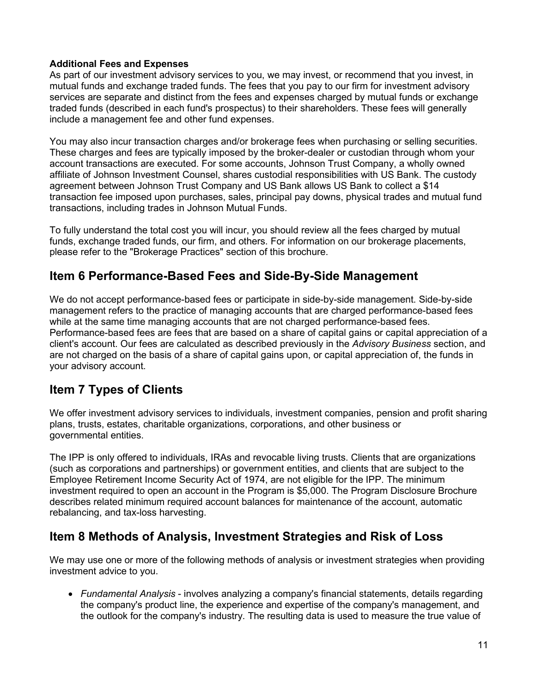### **Additional Fees and Expenses**

As part of our investment advisory services to you, we may invest, or recommend that you invest, in mutual funds and exchange traded funds. The fees that you pay to our firm for investment advisory services are separate and distinct from the fees and expenses charged by mutual funds or exchange traded funds (described in each fund's prospectus) to their shareholders. These fees will generally include a management fee and other fund expenses.

You may also incur transaction charges and/or brokerage fees when purchasing or selling securities. These charges and fees are typically imposed by the broker-dealer or custodian through whom your account transactions are executed. For some accounts, Johnson Trust Company, a wholly owned affiliate of Johnson Investment Counsel, shares custodial responsibilities with US Bank. The custody agreement between Johnson Trust Company and US Bank allows US Bank to collect a \$14 transaction fee imposed upon purchases, sales, principal pay downs, physical trades and mutual fund transactions, including trades in Johnson Mutual Funds.

To fully understand the total cost you will incur, you should review all the fees charged by mutual funds, exchange traded funds, our firm, and others. For information on our brokerage placements, please refer to the "Brokerage Practices" section of this brochure.

# <span id="page-10-0"></span>**Item 6 Performance-Based Fees and Side-By-Side Management**

We do not accept performance-based fees or participate in side-by-side management. Side-by-side management refers to the practice of managing accounts that are charged performance-based fees while at the same time managing accounts that are not charged performance-based fees. Performance-based fees are fees that are based on a share of capital gains or capital appreciation of a client's account. Our fees are calculated as described previously in the *Advisory Business* section, and are not charged on the basis of a share of capital gains upon, or capital appreciation of, the funds in your advisory account.

# <span id="page-10-1"></span>**Item 7 Types of Clients**

We offer investment advisory services to individuals, investment companies, pension and profit sharing plans, trusts, estates, charitable organizations, corporations, and other business or governmental entities.

The IPP is only offered to individuals, IRAs and revocable living trusts. Clients that are organizations (such as corporations and partnerships) or government entities, and clients that are subject to the Employee Retirement Income Security Act of 1974, are not eligible for the IPP. The minimum investment required to open an account in the Program is \$5,000. The Program Disclosure Brochure describes related minimum required account balances for maintenance of the account, automatic rebalancing, and tax-loss harvesting.

# <span id="page-10-2"></span>**Item 8 Methods of Analysis, Investment Strategies and Risk of Loss**

We may use one or more of the following methods of analysis or investment strategies when providing investment advice to you.

• *Fundamental Analysis* - involves analyzing a company's financial statements, details regarding the company's product line, the experience and expertise of the company's management, and the outlook for the company's industry. The resulting data is used to measure the true value of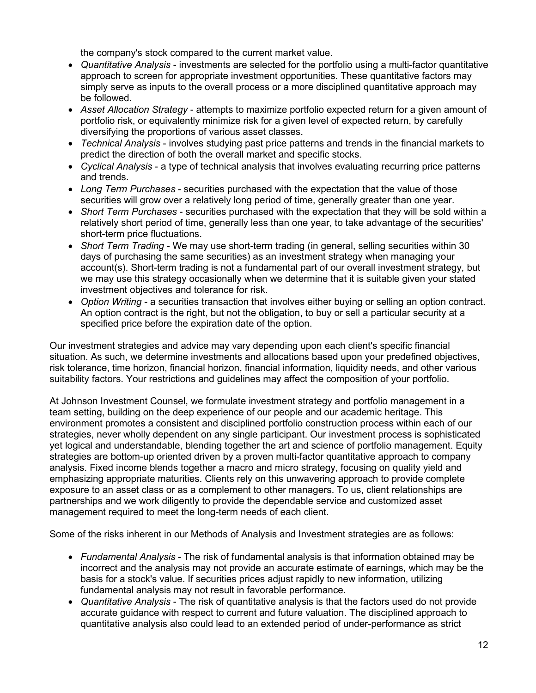the company's stock compared to the current market value.

- *Quantitative Analysis* investments are selected for the portfolio using a multi-factor quantitative approach to screen for appropriate investment opportunities. These quantitative factors may simply serve as inputs to the overall process or a more disciplined quantitative approach may be followed.
- *Asset Allocation Strategy* attempts to maximize portfolio expected return for a given amount of portfolio risk, or equivalently minimize risk for a given level of expected return, by carefully diversifying the proportions of various asset classes.
- *Technical Analysis* involves studying past price patterns and trends in the financial markets to predict the direction of both the overall market and specific stocks.
- *Cyclical Analysis* a type of technical analysis that involves evaluating recurring price patterns and trends.
- *Long Term Purchases* securities purchased with the expectation that the value of those securities will grow over a relatively long period of time, generally greater than one year.
- *Short Term Purchases* securities purchased with the expectation that they will be sold within a relatively short period of time, generally less than one year, to take advantage of the securities' short-term price fluctuations.
- *Short Term Trading* We may use short-term trading (in general, selling securities within 30 days of purchasing the same securities) as an investment strategy when managing your account(s). Short-term trading is not a fundamental part of our overall investment strategy, but we may use this strategy occasionally when we determine that it is suitable given your stated investment objectives and tolerance for risk.
- *Option Writing* a securities transaction that involves either buying or selling an option contract. An option contract is the right, but not the obligation, to buy or sell a particular security at a specified price before the expiration date of the option.

Our investment strategies and advice may vary depending upon each client's specific financial situation. As such, we determine investments and allocations based upon your predefined objectives, risk tolerance, time horizon, financial horizon, financial information, liquidity needs, and other various suitability factors. Your restrictions and guidelines may affect the composition of your portfolio.

At Johnson Investment Counsel, we formulate investment strategy and portfolio management in a team setting, building on the deep experience of our people and our academic heritage. This environment promotes a consistent and disciplined portfolio construction process within each of our strategies, never wholly dependent on any single participant. Our investment process is sophisticated yet logical and understandable, blending together the art and science of portfolio management. Equity strategies are bottom-up oriented driven by a proven multi-factor quantitative approach to company analysis. Fixed income blends together a macro and micro strategy, focusing on quality yield and emphasizing appropriate maturities. Clients rely on this unwavering approach to provide complete exposure to an asset class or as a complement to other managers. To us, client relationships are partnerships and we work diligently to provide the dependable service and customized asset management required to meet the long-term needs of each client.

Some of the risks inherent in our Methods of Analysis and Investment strategies are as follows:

- *Fundamental Analysis* The risk of fundamental analysis is that information obtained may be incorrect and the analysis may not provide an accurate estimate of earnings, which may be the basis for a stock's value. If securities prices adjust rapidly to new information, utilizing fundamental analysis may not result in favorable performance.
- *Quantitative Analysis* The risk of quantitative analysis is that the factors used do not provide accurate guidance with respect to current and future valuation. The disciplined approach to quantitative analysis also could lead to an extended period of under-performance as strict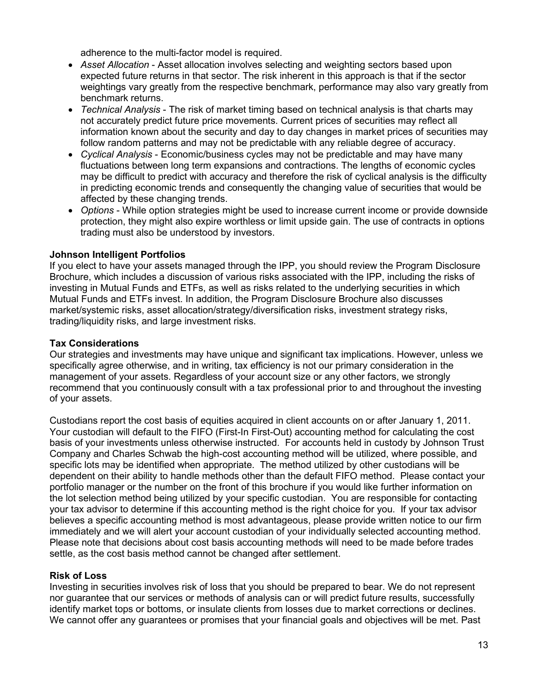adherence to the multi-factor model is required.

- *Asset Allocation* Asset allocation involves selecting and weighting sectors based upon expected future returns in that sector. The risk inherent in this approach is that if the sector weightings vary greatly from the respective benchmark, performance may also vary greatly from benchmark returns.
- *Technical Analysis* The risk of market timing based on technical analysis is that charts may not accurately predict future price movements. Current prices of securities may reflect all information known about the security and day to day changes in market prices of securities may follow random patterns and may not be predictable with any reliable degree of accuracy.
- *Cyclical Analysis* Economic/business cycles may not be predictable and may have many fluctuations between long term expansions and contractions. The lengths of economic cycles may be difficult to predict with accuracy and therefore the risk of cyclical analysis is the difficulty in predicting economic trends and consequently the changing value of securities that would be affected by these changing trends.
- *Options* While option strategies might be used to increase current income or provide downside protection, they might also expire worthless or limit upside gain. The use of contracts in options trading must also be understood by investors.

### **Johnson Intelligent Portfolios**

If you elect to have your assets managed through the IPP, you should review the Program Disclosure Brochure, which includes a discussion of various risks associated with the IPP, including the risks of investing in Mutual Funds and ETFs, as well as risks related to the underlying securities in which Mutual Funds and ETFs invest. In addition, the Program Disclosure Brochure also discusses market/systemic risks, asset allocation/strategy/diversification risks, investment strategy risks, trading/liquidity risks, and large investment risks.

### **Tax Considerations**

Our strategies and investments may have unique and significant tax implications. However, unless we specifically agree otherwise, and in writing, tax efficiency is not our primary consideration in the management of your assets. Regardless of your account size or any other factors, we strongly recommend that you continuously consult with a tax professional prior to and throughout the investing of your assets.

Custodians report the cost basis of equities acquired in client accounts on or after January 1, 2011. Your custodian will default to the FIFO (First-In First-Out) accounting method for calculating the cost basis of your investments unless otherwise instructed. For accounts held in custody by Johnson Trust Company and Charles Schwab the high-cost accounting method will be utilized, where possible, and specific lots may be identified when appropriate. The method utilized by other custodians will be dependent on their ability to handle methods other than the default FIFO method. Please contact your portfolio manager or the number on the front of this brochure if you would like further information on the lot selection method being utilized by your specific custodian. You are responsible for contacting your tax advisor to determine if this accounting method is the right choice for you. If your tax advisor believes a specific accounting method is most advantageous, please provide written notice to our firm immediately and we will alert your account custodian of your individually selected accounting method. Please note that decisions about cost basis accounting methods will need to be made before trades settle, as the cost basis method cannot be changed after settlement.

#### **Risk of Loss**

Investing in securities involves risk of loss that you should be prepared to bear. We do not represent nor guarantee that our services or methods of analysis can or will predict future results, successfully identify market tops or bottoms, or insulate clients from losses due to market corrections or declines. We cannot offer any guarantees or promises that your financial goals and objectives will be met. Past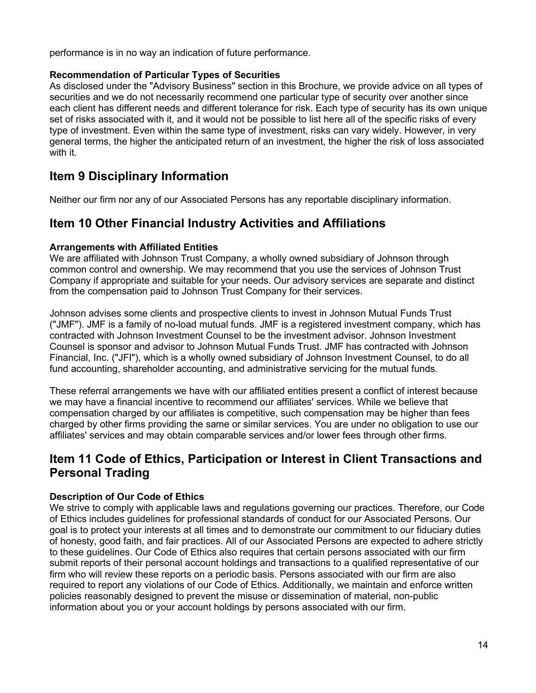performance is in no way an indication of future performance.

### **Recommendation of Particular Types of Securities**

As disclosed under the "Advisory Business" section in this Brochure, we provide advice on all types of securities and we do not necessarily recommend one particular type of security over another since each client has different needs and different tolerance for risk. Each type of security has its own unique set of risks associated with it, and it would not be possible to list here all of the specific risks of every type of investment. Even within the same type of investment, risks can vary widely. However, in very general terms, the higher the anticipated return of an investment, the higher the risk of loss associated with it.

# <span id="page-13-0"></span>**Item 9 Disciplinary Information**

Neither our firm nor any of our Associated Persons has any reportable disciplinary information.

# <span id="page-13-1"></span>**Item 10 Other Financial Industry Activities and Affiliations**

### **Arrangements with Affiliated Entities**

We are affiliated with Johnson Trust Company, a wholly owned subsidiary of Johnson through common control and ownership. We may recommend that you use the services of Johnson Trust Company if appropriate and suitable for your needs. Our advisory services are separate and distinct from the compensation paid to Johnson Trust Company for their services.

Johnson advises some clients and prospective clients to invest in Johnson Mutual Funds Trust ("JMF"). JMF is a family of no-load mutual funds. JMF is a registered investment company, which has contracted with Johnson Investment Counsel to be the investment advisor. Johnson Investment Counsel is sponsor and advisor to Johnson Mutual Funds Trust. JMF has contracted with Johnson Financial, Inc. ("JFI"), which is a wholly owned subsidiary of Johnson Investment Counsel, to do all fund accounting, shareholder accounting, and administrative servicing for the mutual funds.

These referral arrangements we have with our affiliated entities present a conflict of interest because we may have a financial incentive to recommend our affiliates' services. While we believe that compensation charged by our affiliates is competitive, such compensation may be higher than fees charged by other firms providing the same or similar services. You are under no obligation to use our affiliates' services and may obtain comparable services and/or lower fees through other firms.

# <span id="page-13-2"></span>**Item 11 Code of Ethics, Participation or Interest in Client Transactions and Personal Trading**

## **Description of Our Code of Ethics**

We strive to comply with applicable laws and regulations governing our practices. Therefore, our Code of Ethics includes guidelines for professional standards of conduct for our Associated Persons. Our goal is to protect your interests at all times and to demonstrate our commitment to our fiduciary duties of honesty, good faith, and fair practices. All of our Associated Persons are expected to adhere strictly to these guidelines. Our Code of Ethics also requires that certain persons associated with our firm submit reports of their personal account holdings and transactions to a qualified representative of our firm who will review these reports on a periodic basis. Persons associated with our firm are also required to report any violations of our Code of Ethics. Additionally, we maintain and enforce written policies reasonably designed to prevent the misuse or dissemination of material, non-public information about you or your account holdings by persons associated with our firm.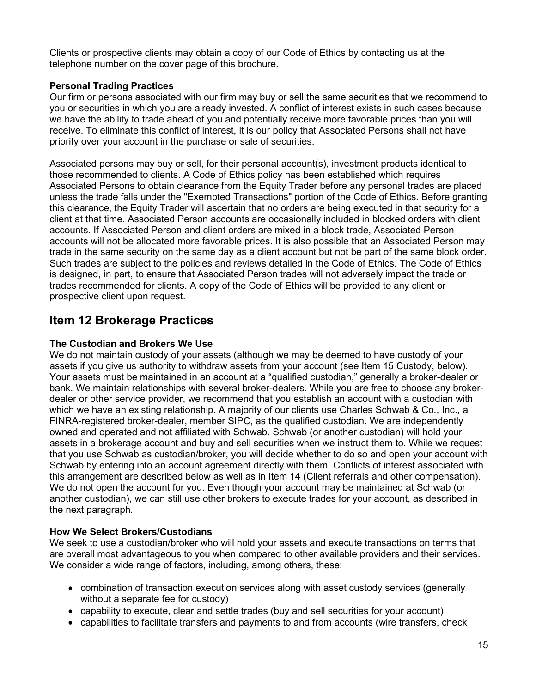Clients or prospective clients may obtain a copy of our Code of Ethics by contacting us at the telephone number on the cover page of this brochure.

### **Personal Trading Practices**

Our firm or persons associated with our firm may buy or sell the same securities that we recommend to you or securities in which you are already invested. A conflict of interest exists in such cases because we have the ability to trade ahead of you and potentially receive more favorable prices than you will receive. To eliminate this conflict of interest, it is our policy that Associated Persons shall not have priority over your account in the purchase or sale of securities.

Associated persons may buy or sell, for their personal account(s), investment products identical to those recommended to clients. A Code of Ethics policy has been established which requires Associated Persons to obtain clearance from the Equity Trader before any personal trades are placed unless the trade falls under the "Exempted Transactions" portion of the Code of Ethics. Before granting this clearance, the Equity Trader will ascertain that no orders are being executed in that security for a client at that time. Associated Person accounts are occasionally included in blocked orders with client accounts. If Associated Person and client orders are mixed in a block trade, Associated Person accounts will not be allocated more favorable prices. It is also possible that an Associated Person may trade in the same security on the same day as a client account but not be part of the same block order. Such trades are subject to the policies and reviews detailed in the Code of Ethics. The Code of Ethics is designed, in part, to ensure that Associated Person trades will not adversely impact the trade or trades recommended for clients. A copy of the Code of Ethics will be provided to any client or prospective client upon request.

# <span id="page-14-0"></span>**Item 12 Brokerage Practices**

### **The Custodian and Brokers We Use**

We do not maintain custody of your assets (although we may be deemed to have custody of your assets if you give us authority to withdraw assets from your account (see Item 15 Custody, below). Your assets must be maintained in an account at a "qualified custodian," generally a broker-dealer or bank. We maintain relationships with several broker-dealers. While you are free to choose any brokerdealer or other service provider, we recommend that you establish an account with a custodian with which we have an existing relationship. A majority of our clients use Charles Schwab & Co., Inc., a FINRA-registered broker-dealer, member SIPC, as the qualified custodian. We are independently owned and operated and not affiliated with Schwab. Schwab (or another custodian) will hold your assets in a brokerage account and buy and sell securities when we instruct them to. While we request that you use Schwab as custodian/broker, you will decide whether to do so and open your account with Schwab by entering into an account agreement directly with them. Conflicts of interest associated with this arrangement are described below as well as in Item 14 (Client referrals and other compensation). We do not open the account for you. Even though your account may be maintained at Schwab (or another custodian), we can still use other brokers to execute trades for your account, as described in the next paragraph.

#### **How We Select Brokers/Custodians**

We seek to use a custodian/broker who will hold your assets and execute transactions on terms that are overall most advantageous to you when compared to other available providers and their services. We consider a wide range of factors, including, among others, these:

- combination of transaction execution services along with asset custody services (generally without a separate fee for custody)
- capability to execute, clear and settle trades (buy and sell securities for your account)
- capabilities to facilitate transfers and payments to and from accounts (wire transfers, check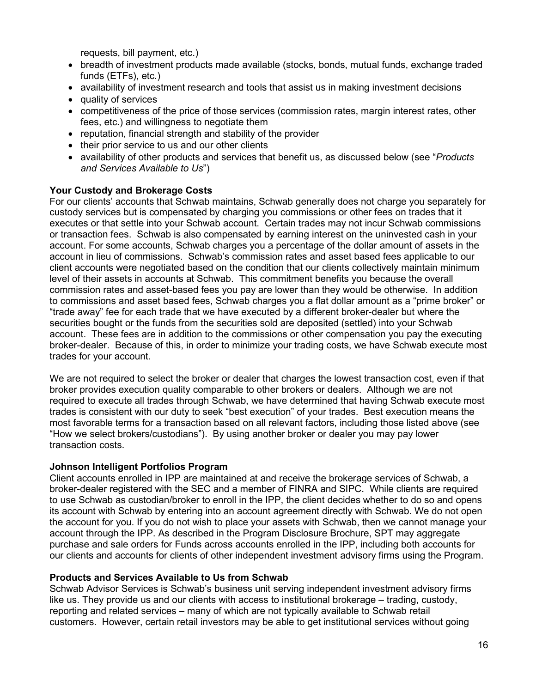requests, bill payment, etc.)

- breadth of investment products made available (stocks, bonds, mutual funds, exchange traded funds (ETFs), etc.)
- availability of investment research and tools that assist us in making investment decisions
- quality of services
- competitiveness of the price of those services (commission rates, margin interest rates, other fees, etc.) and willingness to negotiate them
- reputation, financial strength and stability of the provider
- their prior service to us and our other clients
- availability of other products and services that benefit us, as discussed below (see "*Products and Services Available to Us*")

### **Your Custody and Brokerage Costs**

For our clients' accounts that Schwab maintains, Schwab generally does not charge you separately for custody services but is compensated by charging you commissions or other fees on trades that it executes or that settle into your Schwab account. Certain trades may not incur Schwab commissions or transaction fees. Schwab is also compensated by earning interest on the uninvested cash in your account. For some accounts, Schwab charges you a percentage of the dollar amount of assets in the account in lieu of commissions. Schwab's commission rates and asset based fees applicable to our client accounts were negotiated based on the condition that our clients collectively maintain minimum level of their assets in accounts at Schwab. This commitment benefits you because the overall commission rates and asset-based fees you pay are lower than they would be otherwise. In addition to commissions and asset based fees, Schwab charges you a flat dollar amount as a "prime broker" or "trade away" fee for each trade that we have executed by a different broker-dealer but where the securities bought or the funds from the securities sold are deposited (settled) into your Schwab account. These fees are in addition to the commissions or other compensation you pay the executing broker-dealer. Because of this, in order to minimize your trading costs, we have Schwab execute most trades for your account.

We are not required to select the broker or dealer that charges the lowest transaction cost, even if that broker provides execution quality comparable to other brokers or dealers. Although we are not required to execute all trades through Schwab, we have determined that having Schwab execute most trades is consistent with our duty to seek "best execution" of your trades. Best execution means the most favorable terms for a transaction based on all relevant factors, including those listed above (see "How we select brokers/custodians"). By using another broker or dealer you may pay lower transaction costs.

#### **Johnson Intelligent Portfolios Program**

Client accounts enrolled in IPP are maintained at and receive the brokerage services of Schwab, a broker-dealer registered with the SEC and a member of FINRA and SIPC. While clients are required to use Schwab as custodian/broker to enroll in the IPP, the client decides whether to do so and opens its account with Schwab by entering into an account agreement directly with Schwab. We do not open the account for you. If you do not wish to place your assets with Schwab, then we cannot manage your account through the IPP. As described in the Program Disclosure Brochure, SPT may aggregate purchase and sale orders for Funds across accounts enrolled in the IPP, including both accounts for our clients and accounts for clients of other independent investment advisory firms using the Program.

#### **Products and Services Available to Us from Schwab**

Schwab Advisor Services is Schwab's business unit serving independent investment advisory firms like us. They provide us and our clients with access to institutional brokerage – trading, custody, reporting and related services – many of which are not typically available to Schwab retail customers. However, certain retail investors may be able to get institutional services without going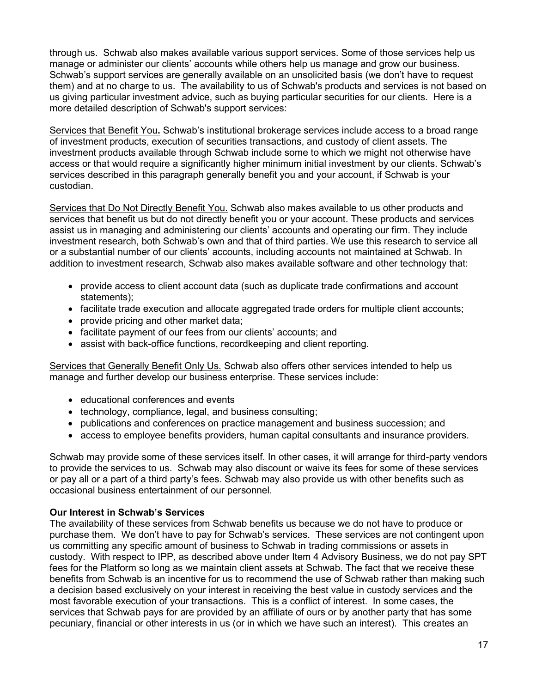through us. Schwab also makes available various support services. Some of those services help us manage or administer our clients' accounts while others help us manage and grow our business. Schwab's support services are generally available on an unsolicited basis (we don't have to request them) and at no charge to us. The availability to us of Schwab's products and services is not based on us giving particular investment advice, such as buying particular securities for our clients. Here is a more detailed description of Schwab's support services:

Services that Benefit You**.** Schwab's institutional brokerage services include access to a broad range of investment products, execution of securities transactions, and custody of client assets. The investment products available through Schwab include some to which we might not otherwise have access or that would require a significantly higher minimum initial investment by our clients. Schwab's services described in this paragraph generally benefit you and your account, if Schwab is your custodian.

Services that Do Not Directly Benefit You. Schwab also makes available to us other products and services that benefit us but do not directly benefit you or your account. These products and services assist us in managing and administering our clients' accounts and operating our firm. They include investment research, both Schwab's own and that of third parties. We use this research to service all or a substantial number of our clients' accounts, including accounts not maintained at Schwab. In addition to investment research, Schwab also makes available software and other technology that:

- provide access to client account data (such as duplicate trade confirmations and account statements);
- facilitate trade execution and allocate aggregated trade orders for multiple client accounts;
- provide pricing and other market data;
- facilitate payment of our fees from our clients' accounts; and
- assist with back-office functions, recordkeeping and client reporting.

Services that Generally Benefit Only Us. Schwab also offers other services intended to help us manage and further develop our business enterprise. These services include:

- educational conferences and events
- technology, compliance, legal, and business consulting;
- publications and conferences on practice management and business succession; and
- access to employee benefits providers, human capital consultants and insurance providers.

Schwab may provide some of these services itself. In other cases, it will arrange for third-party vendors to provide the services to us. Schwab may also discount or waive its fees for some of these services or pay all or a part of a third party's fees. Schwab may also provide us with other benefits such as occasional business entertainment of our personnel.

## **Our Interest in Schwab's Services**

The availability of these services from Schwab benefits us because we do not have to produce or purchase them. We don't have to pay for Schwab's services. These services are not contingent upon us committing any specific amount of business to Schwab in trading commissions or assets in custody. With respect to IPP, as described above under Item 4 Advisory Business, we do not pay SPT fees for the Platform so long as we maintain client assets at Schwab. The fact that we receive these benefits from Schwab is an incentive for us to recommend the use of Schwab rather than making such a decision based exclusively on your interest in receiving the best value in custody services and the most favorable execution of your transactions. This is a conflict of interest. In some cases, the services that Schwab pays for are provided by an affiliate of ours or by another party that has some pecuniary, financial or other interests in us (or in which we have such an interest). This creates an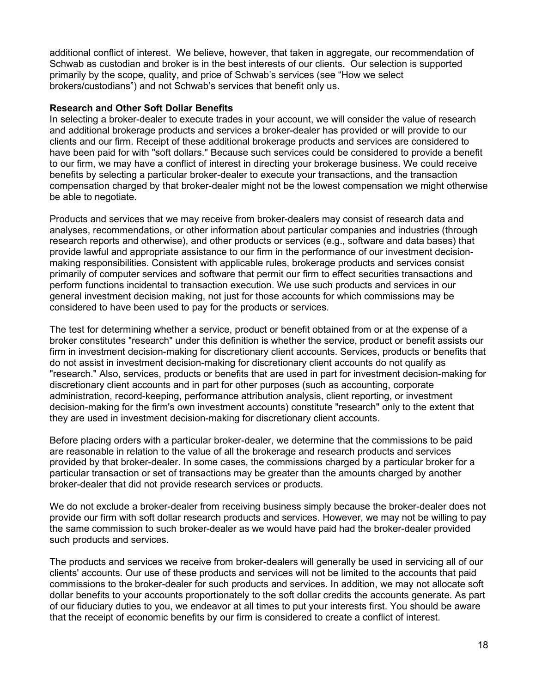additional conflict of interest. We believe, however, that taken in aggregate, our recommendation of Schwab as custodian and broker is in the best interests of our clients. Our selection is supported primarily by the scope, quality, and price of Schwab's services (see "How we select brokers/custodians") and not Schwab's services that benefit only us.

#### **Research and Other Soft Dollar Benefits**

In selecting a broker-dealer to execute trades in your account, we will consider the value of research and additional brokerage products and services a broker-dealer has provided or will provide to our clients and our firm. Receipt of these additional brokerage products and services are considered to have been paid for with "soft dollars." Because such services could be considered to provide a benefit to our firm, we may have a conflict of interest in directing your brokerage business. We could receive benefits by selecting a particular broker-dealer to execute your transactions, and the transaction compensation charged by that broker-dealer might not be the lowest compensation we might otherwise be able to negotiate.

Products and services that we may receive from broker-dealers may consist of research data and analyses, recommendations, or other information about particular companies and industries (through research reports and otherwise), and other products or services (e.g., software and data bases) that provide lawful and appropriate assistance to our firm in the performance of our investment decisionmaking responsibilities. Consistent with applicable rules, brokerage products and services consist primarily of computer services and software that permit our firm to effect securities transactions and perform functions incidental to transaction execution. We use such products and services in our general investment decision making, not just for those accounts for which commissions may be considered to have been used to pay for the products or services.

The test for determining whether a service, product or benefit obtained from or at the expense of a broker constitutes "research" under this definition is whether the service, product or benefit assists our firm in investment decision-making for discretionary client accounts. Services, products or benefits that do not assist in investment decision-making for discretionary client accounts do not qualify as "research." Also, services, products or benefits that are used in part for investment decision-making for discretionary client accounts and in part for other purposes (such as accounting, corporate administration, record-keeping, performance attribution analysis, client reporting, or investment decision-making for the firm's own investment accounts) constitute "research" only to the extent that they are used in investment decision-making for discretionary client accounts.

Before placing orders with a particular broker-dealer, we determine that the commissions to be paid are reasonable in relation to the value of all the brokerage and research products and services provided by that broker-dealer. In some cases, the commissions charged by a particular broker for a particular transaction or set of transactions may be greater than the amounts charged by another broker-dealer that did not provide research services or products.

We do not exclude a broker-dealer from receiving business simply because the broker-dealer does not provide our firm with soft dollar research products and services. However, we may not be willing to pay the same commission to such broker-dealer as we would have paid had the broker-dealer provided such products and services.

The products and services we receive from broker-dealers will generally be used in servicing all of our clients' accounts. Our use of these products and services will not be limited to the accounts that paid commissions to the broker-dealer for such products and services. In addition, we may not allocate soft dollar benefits to your accounts proportionately to the soft dollar credits the accounts generate. As part of our fiduciary duties to you, we endeavor at all times to put your interests first. You should be aware that the receipt of economic benefits by our firm is considered to create a conflict of interest.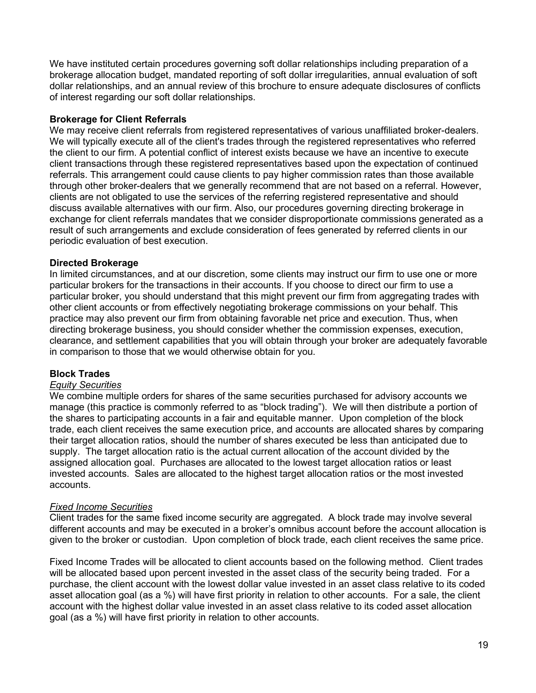We have instituted certain procedures governing soft dollar relationships including preparation of a brokerage allocation budget, mandated reporting of soft dollar irregularities, annual evaluation of soft dollar relationships, and an annual review of this brochure to ensure adequate disclosures of conflicts of interest regarding our soft dollar relationships.

#### **Brokerage for Client Referrals**

We may receive client referrals from registered representatives of various unaffiliated broker-dealers. We will typically execute all of the client's trades through the registered representatives who referred the client to our firm. A potential conflict of interest exists because we have an incentive to execute client transactions through these registered representatives based upon the expectation of continued referrals. This arrangement could cause clients to pay higher commission rates than those available through other broker-dealers that we generally recommend that are not based on a referral. However, clients are not obligated to use the services of the referring registered representative and should discuss available alternatives with our firm. Also, our procedures governing directing brokerage in exchange for client referrals mandates that we consider disproportionate commissions generated as a result of such arrangements and exclude consideration of fees generated by referred clients in our periodic evaluation of best execution.

### **Directed Brokerage**

In limited circumstances, and at our discretion, some clients may instruct our firm to use one or more particular brokers for the transactions in their accounts. If you choose to direct our firm to use a particular broker, you should understand that this might prevent our firm from aggregating trades with other client accounts or from effectively negotiating brokerage commissions on your behalf. This practice may also prevent our firm from obtaining favorable net price and execution. Thus, when directing brokerage business, you should consider whether the commission expenses, execution, clearance, and settlement capabilities that you will obtain through your broker are adequately favorable in comparison to those that we would otherwise obtain for you.

## **Block Trades**

#### *Equity Securities*

We combine multiple orders for shares of the same securities purchased for advisory accounts we manage (this practice is commonly referred to as "block trading"). We will then distribute a portion of the shares to participating accounts in a fair and equitable manner. Upon completion of the block trade, each client receives the same execution price, and accounts are allocated shares by comparing their target allocation ratios, should the number of shares executed be less than anticipated due to supply. The target allocation ratio is the actual current allocation of the account divided by the assigned allocation goal. Purchases are allocated to the lowest target allocation ratios or least invested accounts. Sales are allocated to the highest target allocation ratios or the most invested accounts.

#### *Fixed Income Securities*

Client trades for the same fixed income security are aggregated. A block trade may involve several different accounts and may be executed in a broker's omnibus account before the account allocation is given to the broker or custodian. Upon completion of block trade, each client receives the same price.

Fixed Income Trades will be allocated to client accounts based on the following method. Client trades will be allocated based upon percent invested in the asset class of the security being traded. For a purchase, the client account with the lowest dollar value invested in an asset class relative to its coded asset allocation goal (as a %) will have first priority in relation to other accounts. For a sale, the client account with the highest dollar value invested in an asset class relative to its coded asset allocation goal (as a %) will have first priority in relation to other accounts.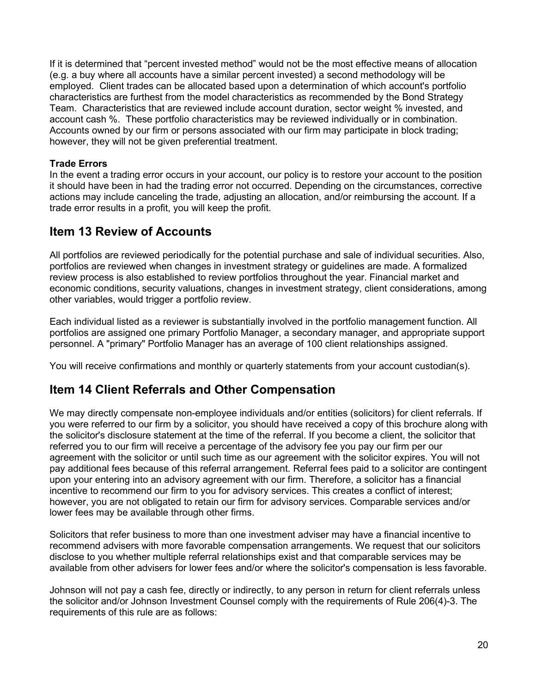If it is determined that "percent invested method" would not be the most effective means of allocation (e.g. a buy where all accounts have a similar percent invested) a second methodology will be employed. Client trades can be allocated based upon a determination of which account's portfolio characteristics are furthest from the model characteristics as recommended by the Bond Strategy Team. Characteristics that are reviewed include account duration, sector weight % invested, and account cash %. These portfolio characteristics may be reviewed individually or in combination. Accounts owned by our firm or persons associated with our firm may participate in block trading; however, they will not be given preferential treatment.

### **Trade Errors**

In the event a trading error occurs in your account, our policy is to restore your account to the position it should have been in had the trading error not occurred. Depending on the circumstances, corrective actions may include canceling the trade, adjusting an allocation, and/or reimbursing the account. If a trade error results in a profit, you will keep the profit.

# <span id="page-19-0"></span>**Item 13 Review of Accounts**

All portfolios are reviewed periodically for the potential purchase and sale of individual securities. Also, portfolios are reviewed when changes in investment strategy or guidelines are made. A formalized review process is also established to review portfolios throughout the year. Financial market and economic conditions, security valuations, changes in investment strategy, client considerations, among other variables, would trigger a portfolio review.

Each individual listed as a reviewer is substantially involved in the portfolio management function. All portfolios are assigned one primary Portfolio Manager, a secondary manager, and appropriate support personnel. A "primary" Portfolio Manager has an average of 100 client relationships assigned.

You will receive confirmations and monthly or quarterly statements from your account custodian(s).

# <span id="page-19-1"></span>**Item 14 Client Referrals and Other Compensation**

We may directly compensate non-employee individuals and/or entities (solicitors) for client referrals. If you were referred to our firm by a solicitor, you should have received a copy of this brochure along with the solicitor's disclosure statement at the time of the referral. If you become a client, the solicitor that referred you to our firm will receive a percentage of the advisory fee you pay our firm per our agreement with the solicitor or until such time as our agreement with the solicitor expires. You will not pay additional fees because of this referral arrangement. Referral fees paid to a solicitor are contingent upon your entering into an advisory agreement with our firm. Therefore, a solicitor has a financial incentive to recommend our firm to you for advisory services. This creates a conflict of interest; however, you are not obligated to retain our firm for advisory services. Comparable services and/or lower fees may be available through other firms.

Solicitors that refer business to more than one investment adviser may have a financial incentive to recommend advisers with more favorable compensation arrangements. We request that our solicitors disclose to you whether multiple referral relationships exist and that comparable services may be available from other advisers for lower fees and/or where the solicitor's compensation is less favorable.

Johnson will not pay a cash fee, directly or indirectly, to any person in return for client referrals unless the solicitor and/or Johnson Investment Counsel comply with the requirements of Rule 206(4)-3. The requirements of this rule are as follows: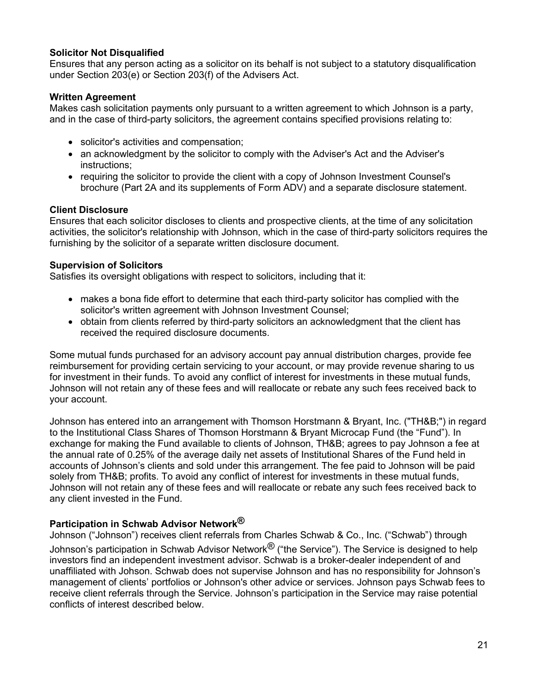### **Solicitor Not Disqualified**

Ensures that any person acting as a solicitor on its behalf is not subject to a statutory disqualification under Section 203(e) or Section 203(f) of the Advisers Act.

### **Written Agreement**

Makes cash solicitation payments only pursuant to a written agreement to which Johnson is a party, and in the case of third-party solicitors, the agreement contains specified provisions relating to:

- solicitor's activities and compensation;
- an acknowledgment by the solicitor to comply with the Adviser's Act and the Adviser's instructions;
- requiring the solicitor to provide the client with a copy of Johnson Investment Counsel's brochure (Part 2A and its supplements of Form ADV) and a separate disclosure statement.

### **Client Disclosure**

Ensures that each solicitor discloses to clients and prospective clients, at the time of any solicitation activities, the solicitor's relationship with Johnson, which in the case of third-party solicitors requires the furnishing by the solicitor of a separate written disclosure document.

### **Supervision of Solicitors**

Satisfies its oversight obligations with respect to solicitors, including that it:

- makes a bona fide effort to determine that each third-party solicitor has complied with the solicitor's written agreement with Johnson Investment Counsel;
- obtain from clients referred by third-party solicitors an acknowledgment that the client has received the required disclosure documents.

Some mutual funds purchased for an advisory account pay annual distribution charges, provide fee reimbursement for providing certain servicing to your account, or may provide revenue sharing to us for investment in their funds. To avoid any conflict of interest for investments in these mutual funds, Johnson will not retain any of these fees and will reallocate or rebate any such fees received back to your account.

Johnson has entered into an arrangement with Thomson Horstmann & Bryant, Inc. ("TH&B;") in regard to the Institutional Class Shares of Thomson Horstmann & Bryant Microcap Fund (the "Fund"). In exchange for making the Fund available to clients of Johnson, TH&B; agrees to pay Johnson a fee at the annual rate of 0.25% of the average daily net assets of Institutional Shares of the Fund held in accounts of Johnson's clients and sold under this arrangement. The fee paid to Johnson will be paid solely from TH&B; profits. To avoid any conflict of interest for investments in these mutual funds, Johnson will not retain any of these fees and will reallocate or rebate any such fees received back to any client invested in the Fund.

## **Participation in Schwab Advisor Network®**

Johnson ("Johnson") receives client referrals from Charles Schwab & Co., Inc. ("Schwab") through Johnson's participation in Schwab Advisor Network $^{\circledR}$  ("the Service"). The Service is designed to help investors find an independent investment advisor. Schwab is a broker-dealer independent of and unaffiliated with Johson. Schwab does not supervise Johnson and has no responsibility for Johnson's management of clients' portfolios or Johnson's other advice or services. Johnson pays Schwab fees to receive client referrals through the Service. Johnson's participation in the Service may raise potential conflicts of interest described below.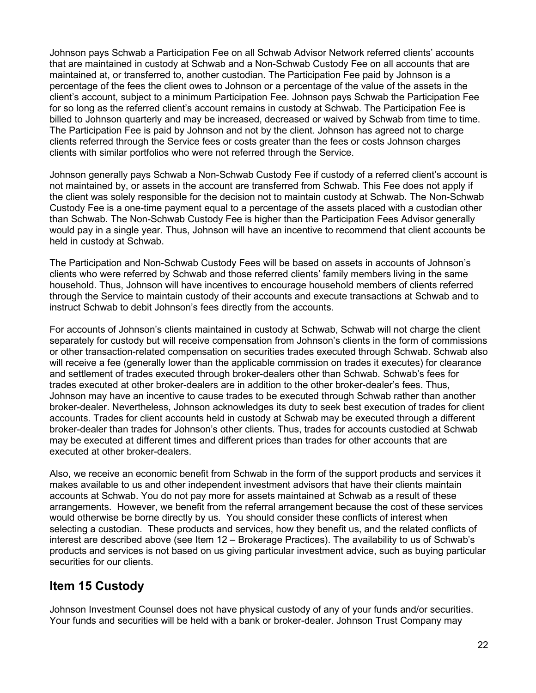Johnson pays Schwab a Participation Fee on all Schwab Advisor Network referred clients' accounts that are maintained in custody at Schwab and a Non-Schwab Custody Fee on all accounts that are maintained at, or transferred to, another custodian. The Participation Fee paid by Johnson is a percentage of the fees the client owes to Johnson or a percentage of the value of the assets in the client's account, subject to a minimum Participation Fee. Johnson pays Schwab the Participation Fee for so long as the referred client's account remains in custody at Schwab. The Participation Fee is billed to Johnson quarterly and may be increased, decreased or waived by Schwab from time to time. The Participation Fee is paid by Johnson and not by the client. Johnson has agreed not to charge clients referred through the Service fees or costs greater than the fees or costs Johnson charges clients with similar portfolios who were not referred through the Service.

Johnson generally pays Schwab a Non-Schwab Custody Fee if custody of a referred client's account is not maintained by, or assets in the account are transferred from Schwab. This Fee does not apply if the client was solely responsible for the decision not to maintain custody at Schwab. The Non-Schwab Custody Fee is a one-time payment equal to a percentage of the assets placed with a custodian other than Schwab. The Non-Schwab Custody Fee is higher than the Participation Fees Advisor generally would pay in a single year. Thus, Johnson will have an incentive to recommend that client accounts be held in custody at Schwab.

The Participation and Non-Schwab Custody Fees will be based on assets in accounts of Johnson's clients who were referred by Schwab and those referred clients' family members living in the same household. Thus, Johnson will have incentives to encourage household members of clients referred through the Service to maintain custody of their accounts and execute transactions at Schwab and to instruct Schwab to debit Johnson's fees directly from the accounts.

For accounts of Johnson's clients maintained in custody at Schwab, Schwab will not charge the client separately for custody but will receive compensation from Johnson's clients in the form of commissions or other transaction-related compensation on securities trades executed through Schwab. Schwab also will receive a fee (generally lower than the applicable commission on trades it executes) for clearance and settlement of trades executed through broker-dealers other than Schwab. Schwab's fees for trades executed at other broker-dealers are in addition to the other broker-dealer's fees. Thus, Johnson may have an incentive to cause trades to be executed through Schwab rather than another broker-dealer. Nevertheless, Johnson acknowledges its duty to seek best execution of trades for client accounts. Trades for client accounts held in custody at Schwab may be executed through a different broker-dealer than trades for Johnson's other clients. Thus, trades for accounts custodied at Schwab may be executed at different times and different prices than trades for other accounts that are executed at other broker-dealers.

Also, we receive an economic benefit from Schwab in the form of the support products and services it makes available to us and other independent investment advisors that have their clients maintain accounts at Schwab. You do not pay more for assets maintained at Schwab as a result of these arrangements. However, we benefit from the referral arrangement because the cost of these services would otherwise be borne directly by us. You should consider these conflicts of interest when selecting a custodian. These products and services, how they benefit us, and the related conflicts of interest are described above (see Item 12 – Brokerage Practices). The availability to us of Schwab's products and services is not based on us giving particular investment advice, such as buying particular securities for our clients.

# <span id="page-21-0"></span>**Item 15 Custody**

Johnson Investment Counsel does not have physical custody of any of your funds and/or securities. Your funds and securities will be held with a bank or broker-dealer. Johnson Trust Company may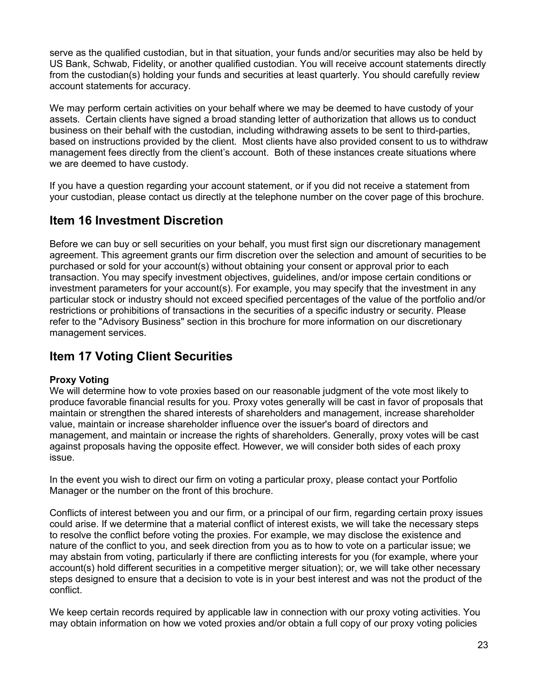serve as the qualified custodian, but in that situation, your funds and/or securities may also be held by US Bank, Schwab, Fidelity, or another qualified custodian. You will receive account statements directly from the custodian(s) holding your funds and securities at least quarterly. You should carefully review account statements for accuracy.

We may perform certain activities on your behalf where we may be deemed to have custody of your assets. Certain clients have signed a broad standing letter of authorization that allows us to conduct business on their behalf with the custodian, including withdrawing assets to be sent to third-parties, based on instructions provided by the client. Most clients have also provided consent to us to withdraw management fees directly from the client's account. Both of these instances create situations where we are deemed to have custody.

If you have a question regarding your account statement, or if you did not receive a statement from your custodian, please contact us directly at the telephone number on the cover page of this brochure.

# <span id="page-22-0"></span>**Item 16 Investment Discretion**

Before we can buy or sell securities on your behalf, you must first sign our discretionary management agreement. This agreement grants our firm discretion over the selection and amount of securities to be purchased or sold for your account(s) without obtaining your consent or approval prior to each transaction. You may specify investment objectives, guidelines, and/or impose certain conditions or investment parameters for your account(s). For example, you may specify that the investment in any particular stock or industry should not exceed specified percentages of the value of the portfolio and/or restrictions or prohibitions of transactions in the securities of a specific industry or security. Please refer to the "Advisory Business" section in this brochure for more information on our discretionary management services.

# <span id="page-22-1"></span>**Item 17 Voting Client Securities**

## **Proxy Voting**

We will determine how to vote proxies based on our reasonable judgment of the vote most likely to produce favorable financial results for you. Proxy votes generally will be cast in favor of proposals that maintain or strengthen the shared interests of shareholders and management, increase shareholder value, maintain or increase shareholder influence over the issuer's board of directors and management, and maintain or increase the rights of shareholders. Generally, proxy votes will be cast against proposals having the opposite effect. However, we will consider both sides of each proxy issue.

In the event you wish to direct our firm on voting a particular proxy, please contact your Portfolio Manager or the number on the front of this brochure.

Conflicts of interest between you and our firm, or a principal of our firm, regarding certain proxy issues could arise. If we determine that a material conflict of interest exists, we will take the necessary steps to resolve the conflict before voting the proxies. For example, we may disclose the existence and nature of the conflict to you, and seek direction from you as to how to vote on a particular issue; we may abstain from voting, particularly if there are conflicting interests for you (for example, where your account(s) hold different securities in a competitive merger situation); or, we will take other necessary steps designed to ensure that a decision to vote is in your best interest and was not the product of the conflict.

We keep certain records required by applicable law in connection with our proxy voting activities. You may obtain information on how we voted proxies and/or obtain a full copy of our proxy voting policies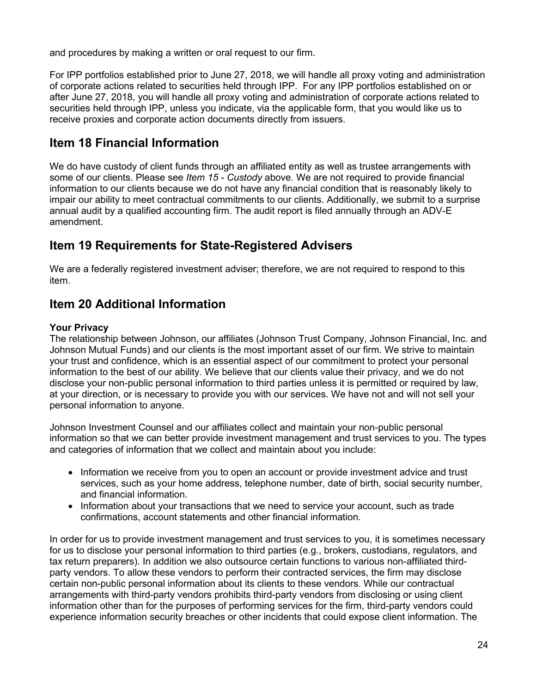and procedures by making a written or oral request to our firm.

For IPP portfolios established prior to June 27, 2018, we will handle all proxy voting and administration of corporate actions related to securities held through IPP. For any IPP portfolios established on or after June 27, 2018, you will handle all proxy voting and administration of corporate actions related to securities held through IPP, unless you indicate, via the applicable form, that you would like us to receive proxies and corporate action documents directly from issuers.

# <span id="page-23-0"></span>**Item 18 Financial Information**

We do have custody of client funds through an affiliated entity as well as trustee arrangements with some of our clients. Please see *Item 15 - Custody* above. We are not required to provide financial information to our clients because we do not have any financial condition that is reasonably likely to impair our ability to meet contractual commitments to our clients. Additionally, we submit to a surprise annual audit by a qualified accounting firm. The audit report is filed annually through an ADV-E amendment.

# <span id="page-23-1"></span>**Item 19 Requirements for State-Registered Advisers**

We are a federally registered investment adviser; therefore, we are not required to respond to this item.

# <span id="page-23-2"></span>**Item 20 Additional Information**

#### **Your Privacy**

The relationship between Johnson, our affiliates (Johnson Trust Company, Johnson Financial, Inc. and Johnson Mutual Funds) and our clients is the most important asset of our firm. We strive to maintain your trust and confidence, which is an essential aspect of our commitment to protect your personal information to the best of our ability. We believe that our clients value their privacy, and we do not disclose your non-public personal information to third parties unless it is permitted or required by law, at your direction, or is necessary to provide you with our services. We have not and will not sell your personal information to anyone.

Johnson Investment Counsel and our affiliates collect and maintain your non-public personal information so that we can better provide investment management and trust services to you. The types and categories of information that we collect and maintain about you include:

- Information we receive from you to open an account or provide investment advice and trust services, such as your home address, telephone number, date of birth, social security number, and financial information.
- Information about your transactions that we need to service your account, such as trade confirmations, account statements and other financial information.

In order for us to provide investment management and trust services to you, it is sometimes necessary for us to disclose your personal information to third parties (e.g., brokers, custodians, regulators, and tax return preparers). In addition we also outsource certain functions to various non-affiliated thirdparty vendors. To allow these vendors to perform their contracted services, the firm may disclose certain non-public personal information about its clients to these vendors. While our contractual arrangements with third-party vendors prohibits third-party vendors from disclosing or using client information other than for the purposes of performing services for the firm, third-party vendors could experience information security breaches or other incidents that could expose client information. The